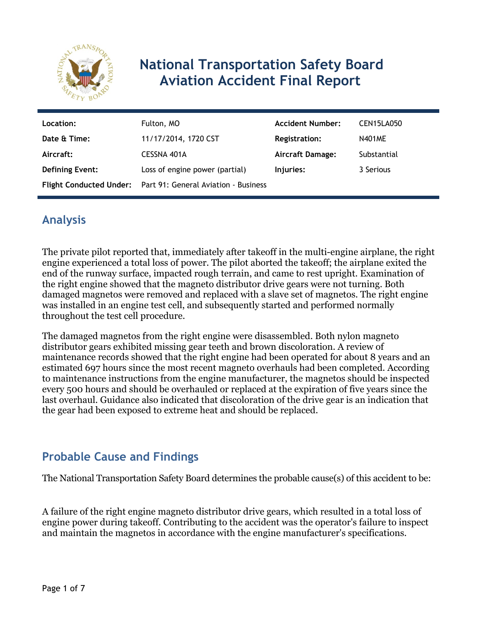

# **National Transportation Safety Board Aviation Accident Final Report**

| Location:              | Fulton, MO                                                   | <b>Accident Number:</b> | CEN15LA050    |
|------------------------|--------------------------------------------------------------|-------------------------|---------------|
| Date & Time:           | 11/17/2014, 1720 CST                                         | <b>Registration:</b>    | <b>N401ME</b> |
| Aircraft:              | CESSNA 401A                                                  | <b>Aircraft Damage:</b> | Substantial   |
| <b>Defining Event:</b> | Loss of engine power (partial)                               | Injuries:               | 3 Serious     |
|                        | Flight Conducted Under: Part 91: General Aviation - Business |                         |               |

## **Analysis**

The private pilot reported that, immediately after takeoff in the multi-engine airplane, the right engine experienced a total loss of power. The pilot aborted the takeoff; the airplane exited the end of the runway surface, impacted rough terrain, and came to rest upright. Examination of the right engine showed that the magneto distributor drive gears were not turning. Both damaged magnetos were removed and replaced with a slave set of magnetos. The right engine was installed in an engine test cell, and subsequently started and performed normally throughout the test cell procedure.

The damaged magnetos from the right engine were disassembled. Both nylon magneto distributor gears exhibited missing gear teeth and brown discoloration. A review of maintenance records showed that the right engine had been operated for about 8 years and an estimated 697 hours since the most recent magneto overhauls had been completed. According to maintenance instructions from the engine manufacturer, the magnetos should be inspected every 500 hours and should be overhauled or replaced at the expiration of five years since the last overhaul. Guidance also indicated that discoloration of the drive gear is an indication that the gear had been exposed to extreme heat and should be replaced.

## **Probable Cause and Findings**

The National Transportation Safety Board determines the probable cause(s) of this accident to be:

A failure of the right engine magneto distributor drive gears, which resulted in a total loss of engine power during takeoff. Contributing to the accident was the operator's failure to inspect and maintain the magnetos in accordance with the engine manufacturer's specifications.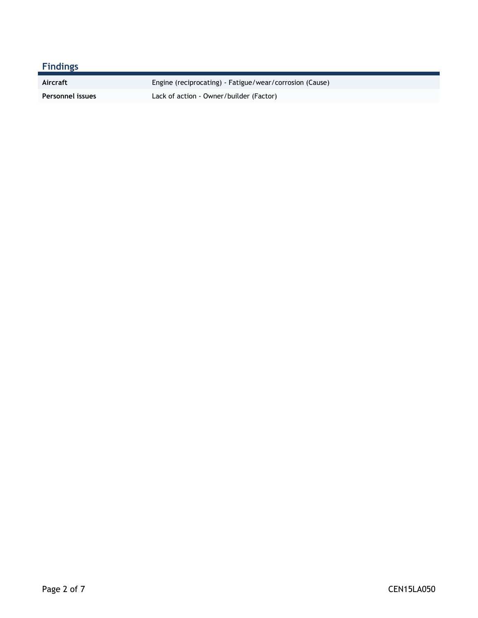| ı |
|---|
|---|

Aircraft **Engine** (reciprocating) - Fatigue/wear/corrosion (Cause)

**Personnel issues** Lack of action - Owner/builder (Factor)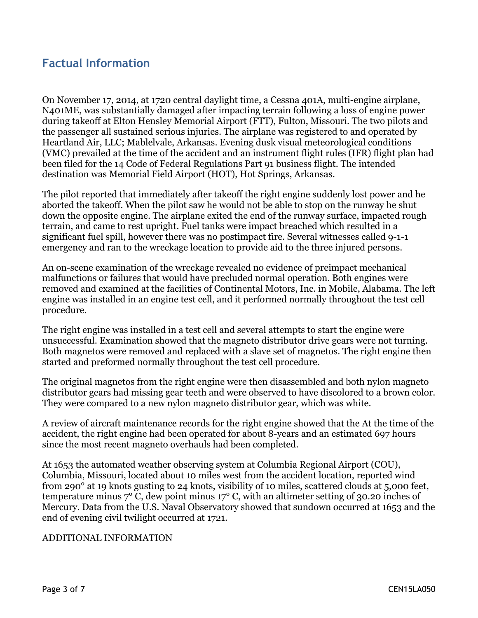### **Factual Information**

On November 17, 2014, at 1720 central daylight time, a Cessna 401A, multi-engine airplane, N401ME, was substantially damaged after impacting terrain following a loss of engine power during takeoff at Elton Hensley Memorial Airport (FTT), Fulton, Missouri. The two pilots and the passenger all sustained serious injuries. The airplane was registered to and operated by Heartland Air, LLC; Mablelvale, Arkansas. Evening dusk visual meteorological conditions (VMC) prevailed at the time of the accident and an instrument flight rules (IFR) flight plan had been filed for the 14 Code of Federal Regulations Part 91 business flight. The intended destination was Memorial Field Airport (HOT), Hot Springs, Arkansas.

The pilot reported that immediately after takeoff the right engine suddenly lost power and he aborted the takeoff. When the pilot saw he would not be able to stop on the runway he shut down the opposite engine. The airplane exited the end of the runway surface, impacted rough terrain, and came to rest upright. Fuel tanks were impact breached which resulted in a significant fuel spill, however there was no postimpact fire. Several witnesses called 9-1-1 emergency and ran to the wreckage location to provide aid to the three injured persons.

An on-scene examination of the wreckage revealed no evidence of preimpact mechanical malfunctions or failures that would have precluded normal operation. Both engines were removed and examined at the facilities of Continental Motors, Inc. in Mobile, Alabama. The left engine was installed in an engine test cell, and it performed normally throughout the test cell procedure.

The right engine was installed in a test cell and several attempts to start the engine were unsuccessful. Examination showed that the magneto distributor drive gears were not turning. Both magnetos were removed and replaced with a slave set of magnetos. The right engine then started and preformed normally throughout the test cell procedure.

The original magnetos from the right engine were then disassembled and both nylon magneto distributor gears had missing gear teeth and were observed to have discolored to a brown color. They were compared to a new nylon magneto distributor gear, which was white.

A review of aircraft maintenance records for the right engine showed that the At the time of the accident, the right engine had been operated for about 8-years and an estimated 697 hours since the most recent magneto overhauls had been completed.

At 1653 the automated weather observing system at Columbia Regional Airport (COU), Columbia, Missouri, located about 10 miles west from the accident location, reported wind from 290° at 19 knots gusting to 24 knots, visibility of 10 miles, scattered clouds at 5,000 feet, temperature minus 7° C, dew point minus 17° C, with an altimeter setting of 30.20 inches of Mercury. Data from the U.S. Naval Observatory showed that sundown occurred at 1653 and the end of evening civil twilight occurred at 1721.

#### ADDITIONAL INFORMATION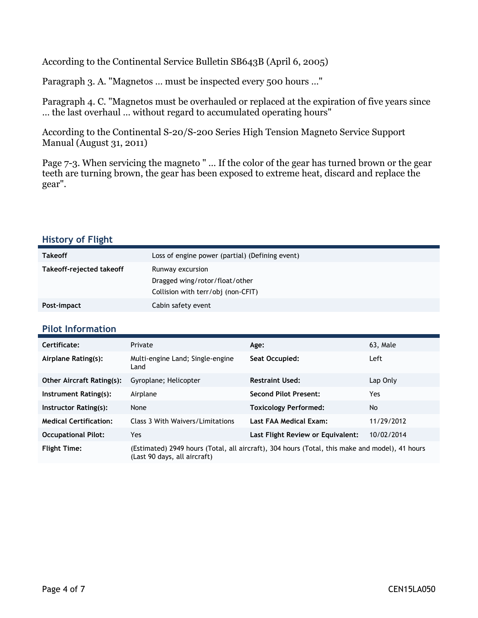According to the Continental Service Bulletin SB643B (April 6, 2005)

Paragraph 3. A. "Magnetos … must be inspected every 500 hours …"

Paragraph 4. C. "Magnetos must be overhauled or replaced at the expiration of five years since … the last overhaul … without regard to accumulated operating hours"

According to the Continental S-20/S-200 Series High Tension Magneto Service Support Manual (August 31, 2011)

Page 7-3. When servicing the magneto " … If the color of the gear has turned brown or the gear teeth are turning brown, the gear has been exposed to extreme heat, discard and replace the gear".

#### **History of Flight**

| <b>Takeoff</b>           | Loss of engine power (partial) (Defining event)                                          |
|--------------------------|------------------------------------------------------------------------------------------|
| Takeoff-rejected takeoff | Runway excursion<br>Dragged wing/rotor/float/other<br>Collision with terr/obj (non-CFIT) |
| Post-impact              | Cabin safety event                                                                       |

#### **Pilot Information**

| Certificate:                     | Private                                                                                                                        | Age:                              | 63. Male   |
|----------------------------------|--------------------------------------------------------------------------------------------------------------------------------|-----------------------------------|------------|
| Airplane Rating(s):              | Multi-engine Land; Single-engine<br>Land                                                                                       | Seat Occupied:                    | Left       |
| <b>Other Aircraft Rating(s):</b> | Gyroplane; Helicopter                                                                                                          | <b>Restraint Used:</b>            | Lap Only   |
| Instrument Rating(s):            | Airplane                                                                                                                       | <b>Second Pilot Present:</b>      | Yes        |
| Instructor Rating(s):            | None                                                                                                                           | <b>Toxicology Performed:</b>      | No         |
| <b>Medical Certification:</b>    | Class 3 With Waivers/Limitations                                                                                               | Last FAA Medical Exam:            | 11/29/2012 |
| <b>Occupational Pilot:</b>       | Yes                                                                                                                            | Last Flight Review or Equivalent: | 10/02/2014 |
| <b>Flight Time:</b>              | (Estimated) 2949 hours (Total, all aircraft), 304 hours (Total, this make and model), 41 hours<br>(Last 90 days, all aircraft) |                                   |            |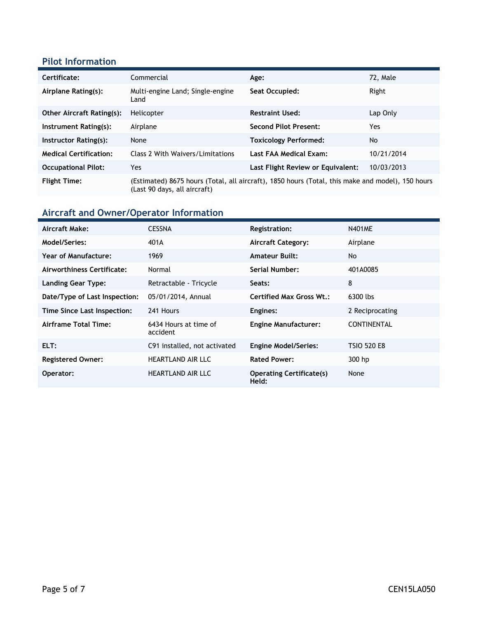#### **Pilot Information**

| Certificate:                     | Commercial                                                                                                                       | Age:                              | 72, Male   |
|----------------------------------|----------------------------------------------------------------------------------------------------------------------------------|-----------------------------------|------------|
| Airplane Rating(s):              | Multi-engine Land; Single-engine<br>Land                                                                                         | Seat Occupied:                    | Right      |
| <b>Other Aircraft Rating(s):</b> | Helicopter                                                                                                                       | <b>Restraint Used:</b>            | Lap Only   |
| Instrument Rating(s):            | Airplane                                                                                                                         | <b>Second Pilot Present:</b>      | Yes        |
| Instructor Rating(s):            | None                                                                                                                             | <b>Toxicology Performed:</b>      | No         |
| <b>Medical Certification:</b>    | Class 2 With Waivers/Limitations                                                                                                 | Last FAA Medical Exam:            | 10/21/2014 |
| <b>Occupational Pilot:</b>       | Yes                                                                                                                              | Last Flight Review or Equivalent: | 10/03/2013 |
| <b>Flight Time:</b>              | (Estimated) 8675 hours (Total, all aircraft), 1850 hours (Total, this make and model), 150 hours<br>(Last 90 days, all aircraft) |                                   |            |

### **Aircraft and Owner/Operator Information**

| Aircraft Make:                | <b>CESSNA</b>                     | Registration:                            | <b>N401ME</b>      |
|-------------------------------|-----------------------------------|------------------------------------------|--------------------|
| Model/Series:                 | 401A                              | <b>Aircraft Category:</b>                | Airplane           |
| Year of Manufacture:          | 1969                              | <b>Amateur Built:</b>                    | No.                |
| Airworthiness Certificate:    | Normal                            | Serial Number:                           | 401A0085           |
| Landing Gear Type:            | Retractable - Tricycle            | Seats:                                   | 8                  |
| Date/Type of Last Inspection: | 05/01/2014, Annual                | <b>Certified Max Gross Wt.:</b>          | 6300 lbs           |
| Time Since Last Inspection:   | 241 Hours                         | Engines:                                 | 2 Reciprocating    |
| Airframe Total Time:          | 6434 Hours at time of<br>accident | <b>Engine Manufacturer:</b>              | <b>CONTINENTAL</b> |
| ELT:                          | C91 installed, not activated      | <b>Engine Model/Series:</b>              | <b>TSIO 520 E8</b> |
| <b>Registered Owner:</b>      | <b>HEARTLAND AIR LLC</b>          | <b>Rated Power:</b>                      | 300 hp             |
| Operator:                     | <b>HEARTLAND AIR LLC</b>          | <b>Operating Certificate(s)</b><br>Held: | None               |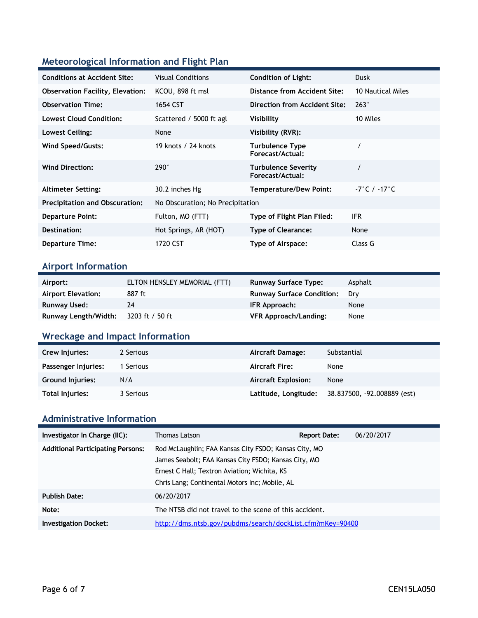### **Meteorological Information and Flight Plan**

| <b>Conditions at Accident Site:</b>     | <b>Visual Conditions</b>         | <b>Condition of Light:</b>                     | <b>Dusk</b>                      |
|-----------------------------------------|----------------------------------|------------------------------------------------|----------------------------------|
| <b>Observation Facility, Elevation:</b> | KCOU, 898 ft msl                 | Distance from Accident Site:                   | 10 Nautical Miles                |
| <b>Observation Time:</b>                | 1654 CST                         | Direction from Accident Site:                  | 263°                             |
| <b>Lowest Cloud Condition:</b>          | Scattered / 5000 ft agl          | Visibility                                     | 10 Miles                         |
| Lowest Ceiling:                         | None                             | Visibility (RVR):                              |                                  |
| <b>Wind Speed/Gusts:</b>                | 19 knots / 24 knots              | <b>Turbulence Type</b><br>Forecast/Actual:     |                                  |
| <b>Wind Direction:</b>                  | $290^\circ$                      | <b>Turbulence Severity</b><br>Forecast/Actual: |                                  |
| <b>Altimeter Setting:</b>               | 30.2 inches Hg                   | <b>Temperature/Dew Point:</b>                  | $-7^{\circ}$ C / $-17^{\circ}$ C |
| <b>Precipitation and Obscuration:</b>   | No Obscuration; No Precipitation |                                                |                                  |
| <b>Departure Point:</b>                 | Fulton, MO (FTT)                 | Type of Flight Plan Filed:                     | IFR.                             |
| Destination:                            | Hot Springs, AR (HOT)            | <b>Type of Clearance:</b>                      | None                             |
| <b>Departure Time:</b>                  | 1720 CST                         | Type of Airspace:                              | Class G                          |

### **Airport Information**

| Airport:                  | ELTON HENSLEY MEMORIAL (FTT) | <b>Runway Surface Type:</b>      | Asphalt |
|---------------------------|------------------------------|----------------------------------|---------|
| <b>Airport Elevation:</b> | 887 ft                       | <b>Runway Surface Condition:</b> | Drv     |
| <b>Runway Used:</b>       | 24                           | <b>IFR Approach:</b>             | None    |
| Runway Length/Width:      | 3203 ft / 50 ft              | <b>VFR Approach/Landing:</b>     | None    |

## **Wreckage and Impact Information**

| Crew Injuries:         | 2 Serious | Aircraft Damage:           | Substantial                 |
|------------------------|-----------|----------------------------|-----------------------------|
| Passenger Injuries:    | I Serious | <b>Aircraft Fire:</b>      | None                        |
| Ground Injuries:       | N/A       | <b>Aircraft Explosion:</b> | None                        |
| <b>Total Injuries:</b> | 3 Serious | Latitude, Longitude:       | 38.837500, -92.008889 (est) |

#### **Administrative Information**

| Investigator In Charge (IIC):            | Thomas Latson                                                                                                                                                                                                   | <b>Report Date:</b> | 06/20/2017 |
|------------------------------------------|-----------------------------------------------------------------------------------------------------------------------------------------------------------------------------------------------------------------|---------------------|------------|
| <b>Additional Participating Persons:</b> | Rod McLaughlin; FAA Kansas City FSDO; Kansas City, MO<br>James Seabolt; FAA Kansas City FSDO; Kansas City, MO<br>Ernest C Hall; Textron Aviation; Wichita, KS<br>Chris Lang; Continental Motors Inc; Mobile, AL |                     |            |
| <b>Publish Date:</b>                     | 06/20/2017                                                                                                                                                                                                      |                     |            |
| Note:                                    | The NTSB did not travel to the scene of this accident.                                                                                                                                                          |                     |            |
| <b>Investigation Docket:</b>             | http://dms.ntsb.gov/pubdms/search/dockList.cfm?mKey=90400                                                                                                                                                       |                     |            |